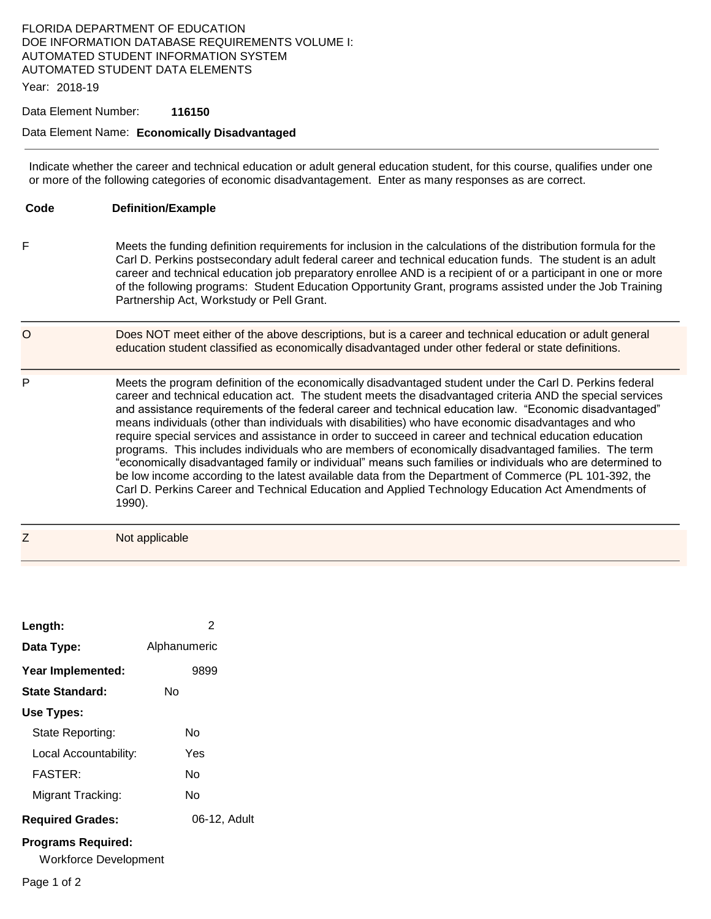## FLORIDA DEPARTMENT OF EDUCATION DOE INFORMATION DATABASE REQUIREMENTS VOLUME I: AUTOMATED STUDENT INFORMATION SYSTEM AUTOMATED STUDENT DATA ELEMENTS

Year: 2018-19

## Data Element Number: **116150**

## Data Element Name: **Economically Disadvantaged**

Indicate whether the career and technical education or adult general education student, for this course, qualifies under one or more of the following categories of economic disadvantagement. Enter as many responses as are correct.

| Code    | <b>Definition/Example</b>                                                                                                                                                                                                                                                                                                                                                                                                                                                                                                                                                                                                                                                                                                                                                                                                                                                                                                                                                                         |
|---------|---------------------------------------------------------------------------------------------------------------------------------------------------------------------------------------------------------------------------------------------------------------------------------------------------------------------------------------------------------------------------------------------------------------------------------------------------------------------------------------------------------------------------------------------------------------------------------------------------------------------------------------------------------------------------------------------------------------------------------------------------------------------------------------------------------------------------------------------------------------------------------------------------------------------------------------------------------------------------------------------------|
| F       | Meets the funding definition requirements for inclusion in the calculations of the distribution formula for the<br>Carl D. Perkins postsecondary adult federal career and technical education funds. The student is an adult<br>career and technical education job preparatory enrollee AND is a recipient of or a participant in one or more<br>of the following programs: Student Education Opportunity Grant, programs assisted under the Job Training<br>Partnership Act, Workstudy or Pell Grant.                                                                                                                                                                                                                                                                                                                                                                                                                                                                                            |
| $\circ$ | Does NOT meet either of the above descriptions, but is a career and technical education or adult general<br>education student classified as economically disadvantaged under other federal or state definitions.                                                                                                                                                                                                                                                                                                                                                                                                                                                                                                                                                                                                                                                                                                                                                                                  |
| P       | Meets the program definition of the economically disadvantaged student under the Carl D. Perkins federal<br>career and technical education act. The student meets the disadvantaged criteria AND the special services<br>and assistance requirements of the federal career and technical education law. "Economic disadvantaged"<br>means individuals (other than individuals with disabilities) who have economic disadvantages and who<br>require special services and assistance in order to succeed in career and technical education education<br>programs. This includes individuals who are members of economically disadvantaged families. The term<br>"economically disadvantaged family or individual" means such families or individuals who are determined to<br>be low income according to the latest available data from the Department of Commerce (PL 101-392, the<br>Carl D. Perkins Career and Technical Education and Applied Technology Education Act Amendments of<br>1990). |
| Ζ       | Not applicable                                                                                                                                                                                                                                                                                                                                                                                                                                                                                                                                                                                                                                                                                                                                                                                                                                                                                                                                                                                    |

| Length:                                            | 2            |
|----------------------------------------------------|--------------|
| Data Type:                                         | Alphanumeric |
| Year Implemented:                                  | 9899         |
| State Standard:                                    | N٥           |
| Use Types:                                         |              |
| State Reporting:                                   | N٥           |
| Local Accountability:                              | Yes          |
| <b>FASTER:</b>                                     | N٥           |
| Migrant Tracking:                                  | N٥           |
| <b>Required Grades:</b>                            | 06-12. Adult |
| <b>Programs Required:</b><br>Workforce Development |              |